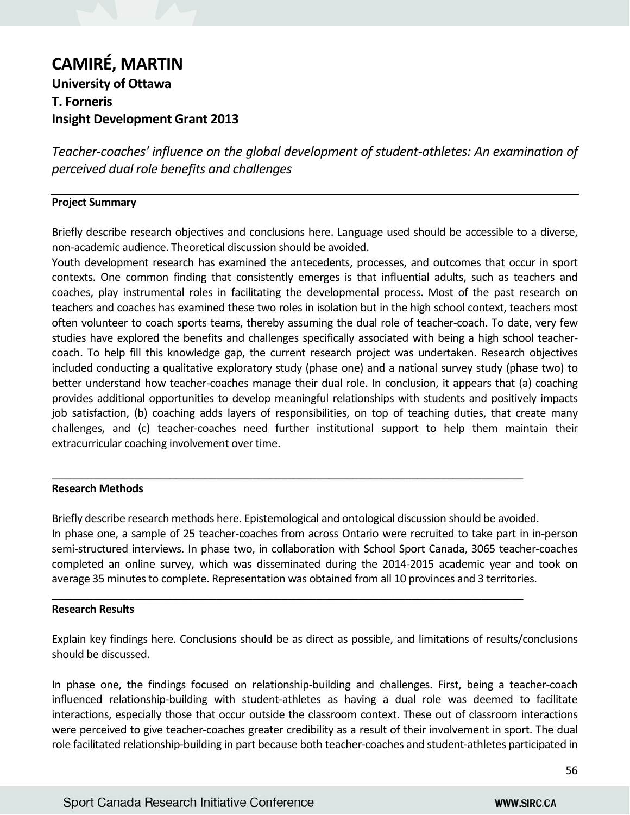# **CAMIRÉ, MARTIN University of Ottawa T. Forneris Insight Development Grant 2013**

*Teacher-coaches' influence on the global development of student-athletes: An examination of perceived dual role benefits and challenges*

## **Project Summary**

Briefly describe research objectives and conclusions here. Language used should be accessible to a diverse, non-academic audience. Theoretical discussion should be avoided.

Youth development research has examined the antecedents, processes, and outcomes that occur in sport contexts. One common finding that consistently emerges is that influential adults, such as teachers and coaches, play instrumental roles in facilitating the developmental process. Most of the past research on teachers and coaches has examined these two roles in isolation but in the high school context, teachers most often volunteer to coach sports teams, thereby assuming the dual role of teacher-coach. To date, very few studies have explored the benefits and challenges specifically associated with being a high school teachercoach. To help fill this knowledge gap, the current research project was undertaken. Research objectives included conducting a qualitative exploratory study (phase one) and a national survey study (phase two) to better understand how teacher-coaches manage their dual role. In conclusion, it appears that (a) coaching provides additional opportunities to develop meaningful relationships with students and positively impacts job satisfaction, (b) coaching adds layers of responsibilities, on top of teaching duties, that create many challenges, and (c) teacher-coaches need further institutional support to help them maintain their extracurricular coaching involvement over time.

#### **Research Methods**

Briefly describe research methods here. Epistemological and ontological discussion should be avoided. In phase one, a sample of 25 teacher-coaches from across Ontario were recruited to take part in in-person semi-structured interviews. In phase two, in collaboration with School Sport Canada, 3065 teacher-coaches completed an online survey, which was disseminated during the 2014-2015 academic year and took on average 35 minutes to complete. Representation was obtained from all 10 provinces and 3 territories.

\_\_\_\_\_\_\_\_\_\_\_\_\_\_\_\_\_\_\_\_\_\_\_\_\_\_\_\_\_\_\_\_\_\_\_\_\_\_\_\_\_\_\_\_\_\_\_\_\_\_\_\_\_\_\_\_\_\_\_\_\_\_\_\_\_\_\_\_\_\_\_\_\_\_\_\_\_\_\_\_

\_\_\_\_\_\_\_\_\_\_\_\_\_\_\_\_\_\_\_\_\_\_\_\_\_\_\_\_\_\_\_\_\_\_\_\_\_\_\_\_\_\_\_\_\_\_\_\_\_\_\_\_\_\_\_\_\_\_\_\_\_\_\_\_\_\_\_\_\_\_\_\_\_\_\_\_\_\_\_\_

#### **Research Results**

Explain key findings here. Conclusions should be as direct as possible, and limitations of results/conclusions should be discussed.

In phase one, the findings focused on relationship-building and challenges. First, being a teacher-coach influenced relationship-building with student-athletes as having a dual role was deemed to facilitate interactions, especially those that occur outside the classroom context. These out of classroom interactions were perceived to give teacher-coaches greater credibility as a result of their involvement in sport. The dual role facilitated relationship-building in part because both teacher-coaches and student-athletes participated in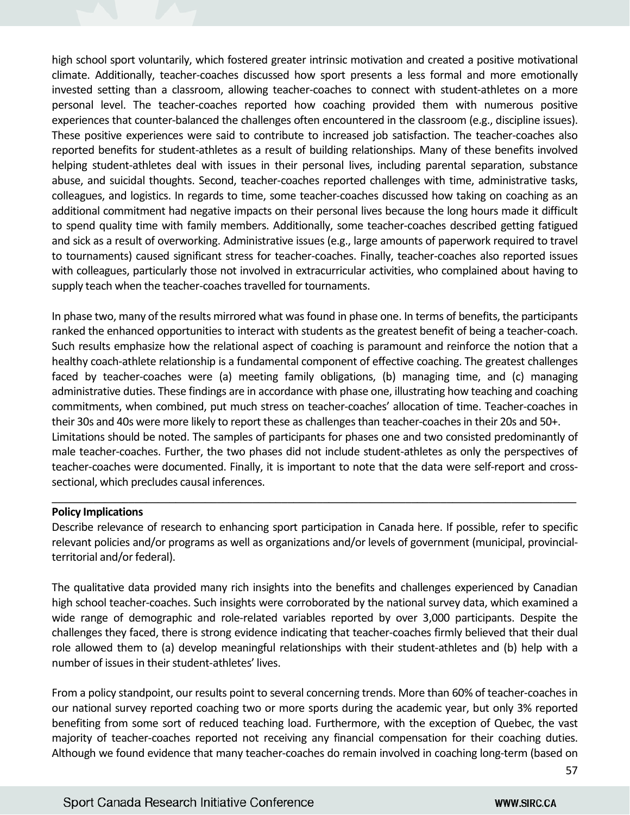high school sport voluntarily, which fostered greater intrinsic motivation and created a positive motivational climate. Additionally, teacher-coaches discussed how sport presents a less formal and more emotionally invested setting than a classroom, allowing teacher-coaches to connect with student-athletes on a more personal level. The teacher-coaches reported how coaching provided them with numerous positive experiences that counter-balanced the challenges often encountered in the classroom (e.g., discipline issues). These positive experiences were said to contribute to increased job satisfaction. The teacher-coaches also reported benefits for student-athletes as a result of building relationships. Many of these benefits involved helping student-athletes deal with issues in their personal lives, including parental separation, substance abuse, and suicidal thoughts. Second, teacher-coaches reported challenges with time, administrative tasks, colleagues, and logistics. In regards to time, some teacher-coaches discussed how taking on coaching as an additional commitment had negative impacts on their personal lives because the long hours made it difficult to spend quality time with family members. Additionally, some teacher-coaches described getting fatigued and sick as a result of overworking. Administrative issues (e.g., large amounts of paperwork required to travel to tournaments) caused significant stress for teacher-coaches. Finally, teacher-coaches also reported issues with colleagues, particularly those not involved in extracurricular activities, who complained about having to supply teach when the teacher-coaches travelled for tournaments.

In phase two, many of the results mirrored what was found in phase one. In terms of benefits, the participants ranked the enhanced opportunities to interact with students as the greatest benefit of being a teacher-coach. Such results emphasize how the relational aspect of coaching is paramount and reinforce the notion that a healthy coach-athlete relationship is a fundamental component of effective coaching. The greatest challenges faced by teacher-coaches were (a) meeting family obligations, (b) managing time, and (c) managing administrative duties. These findings are in accordance with phase one, illustrating how teaching and coaching commitments, when combined, put much stress on teacher-coaches' allocation of time. Teacher-coaches in their 30s and 40s were more likely to report these as challenges than teacher-coaches in their 20s and 50+. Limitations should be noted. The samples of participants for phases one and two consisted predominantly of male teacher-coaches. Further, the two phases did not include student-athletes as only the perspectives of teacher-coaches were documented. Finally, it is important to note that the data were self-report and crosssectional, which precludes causal inferences.

#### **Policy Implications**

Describe relevance of research to enhancing sport participation in Canada here. If possible, refer to specific relevant policies and/or programs as well as organizations and/or levels of government (municipal, provincialterritorial and/or federal).

 $\_$  , and the set of the set of the set of the set of the set of the set of the set of the set of the set of the set of the set of the set of the set of the set of the set of the set of the set of the set of the set of th

The qualitative data provided many rich insights into the benefits and challenges experienced by Canadian high school teacher-coaches. Such insights were corroborated by the national survey data, which examined a wide range of demographic and role-related variables reported by over 3,000 participants. Despite the challenges they faced, there is strong evidence indicating that teacher-coaches firmly believed that their dual role allowed them to (a) develop meaningful relationships with their student-athletes and (b) help with a number of issues in their student-athletes' lives.

From a policy standpoint, our results point to several concerning trends. More than 60% of teacher-coaches in our national survey reported coaching two or more sports during the academic year, but only 3% reported benefiting from some sort of reduced teaching load. Furthermore, with the exception of Quebec, the vast majority of teacher-coaches reported not receiving any financial compensation for their coaching duties. Although we found evidence that many teacher-coaches do remain involved in coaching long-term (based on